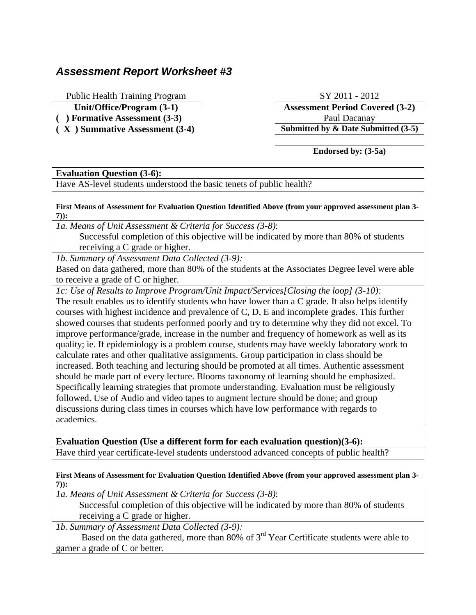# *Assessment Report Worksheet #3*

Public Health Training Program SY 2011 - 2012

**( ) Formative Assessment (3-3)** Paul Dacanay

**Unit/Office/Program (3-1) Assessment Period Covered (3-2) ( X ) Summative Assessment (3-4) Submitted by & Date Submitted (3-5)**

**Endorsed by: (3-5a)**

# **Evaluation Question (3-6):**

Have AS-level students understood the basic tenets of public health?

#### **First Means of Assessment for Evaluation Question Identified Above (from your approved assessment plan 3- 7)):**

*1a. Means of Unit Assessment & Criteria for Success (3-8)*: Successful completion of this objective will be indicated by more than 80% of students receiving a C grade or higher.

*1b. Summary of Assessment Data Collected (3-9):*

Based on data gathered, more than 80% of the students at the Associates Degree level were able to receive a grade of C or higher.

*1c: Use of Results to Improve Program/Unit Impact/Services[Closing the loop] (3-10):* The result enables us to identify students who have lower than a C grade. It also helps identify courses with highest incidence and prevalence of C, D, E and incomplete grades. This further showed courses that students performed poorly and try to determine why they did not excel. To improve performance/grade, increase in the number and frequency of homework as well as its quality; ie. If epidemiology is a problem course, students may have weekly laboratory work to calculate rates and other qualitative assignments. Group participation in class should be increased. Both teaching and lecturing should be promoted at all times. Authentic assessment should be made part of every lecture. Blooms taxonomy of learning should be emphasized. Specifically learning strategies that promote understanding. Evaluation must be religiously followed. Use of Audio and video tapes to augment lecture should be done; and group discussions during class times in courses which have low performance with regards to academics.

**Evaluation Question (Use a different form for each evaluation question)(3-6):** Have third year certificate-level students understood advanced concepts of public health?

### **First Means of Assessment for Evaluation Question Identified Above (from your approved assessment plan 3- 7)):**

*1a. Means of Unit Assessment & Criteria for Success (3-8)*: Successful completion of this objective will be indicated by more than 80% of students receiving a C grade or higher.

*1b. Summary of Assessment Data Collected (3-9):*

 Based on the data gathered, more than 80% of 3rd Year Certificate students were able to garner a grade of C or better.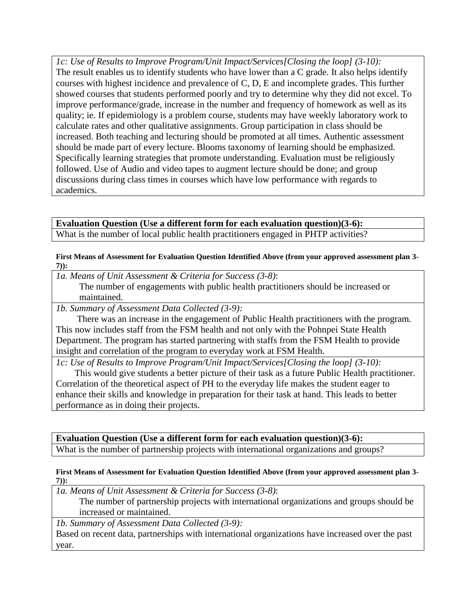*1c: Use of Results to Improve Program/Unit Impact/Services[Closing the loop] (3-10):* The result enables us to identify students who have lower than a C grade. It also helps identify courses with highest incidence and prevalence of C, D, E and incomplete grades. This further showed courses that students performed poorly and try to determine why they did not excel. To improve performance/grade, increase in the number and frequency of homework as well as its quality; ie. If epidemiology is a problem course, students may have weekly laboratory work to calculate rates and other qualitative assignments. Group participation in class should be increased. Both teaching and lecturing should be promoted at all times. Authentic assessment should be made part of every lecture. Blooms taxonomy of learning should be emphasized. Specifically learning strategies that promote understanding. Evaluation must be religiously followed. Use of Audio and video tapes to augment lecture should be done; and group discussions during class times in courses which have low performance with regards to academics.

## **Evaluation Question (Use a different form for each evaluation question)(3-6):** What is the number of local public health practitioners engaged in PHTP activities?

**First Means of Assessment for Evaluation Question Identified Above (from your approved assessment plan 3- 7)):**

*1a. Means of Unit Assessment & Criteria for Success (3-8)*:

 The number of engagements with public health practitioners should be increased or maintained.

*1b. Summary of Assessment Data Collected (3-9):*

 There was an increase in the engagement of Public Health practitioners with the program. This now includes staff from the FSM health and not only with the Pohnpei State Health Department. The program has started partnering with staffs from the FSM Health to provide insight and correlation of the program to everyday work at FSM Health.

*1c: Use of Results to Improve Program/Unit Impact/Services[Closing the loop] (3-10):*

 This would give students a better picture of their task as a future Public Health practitioner. Correlation of the theoretical aspect of PH to the everyday life makes the student eager to enhance their skills and knowledge in preparation for their task at hand. This leads to better performance as in doing their projects.

**Evaluation Question (Use a different form for each evaluation question)(3-6):** What is the number of partnership projects with international organizations and groups?

#### **First Means of Assessment for Evaluation Question Identified Above (from your approved assessment plan 3- 7)):**

*1a. Means of Unit Assessment & Criteria for Success (3-8)*:

 The number of partnership projects with international organizations and groups should be increased or maintained.

*1b. Summary of Assessment Data Collected (3-9):* Based on recent data, partnerships with international organizations have increased over the past year.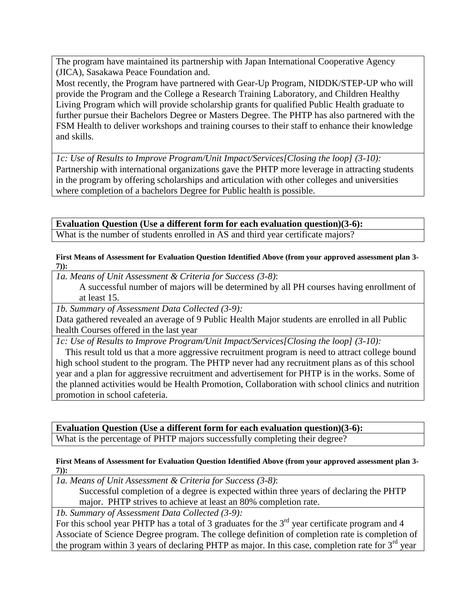The program have maintained its partnership with Japan International Cooperative Agency (JICA), Sasakawa Peace Foundation and.

Most recently, the Program have partnered with Gear-Up Program, NIDDK/STEP-UP who will provide the Program and the College a Research Training Laboratory, and Children Healthy Living Program which will provide scholarship grants for qualified Public Health graduate to further pursue their Bachelors Degree or Masters Degree. The PHTP has also partnered with the FSM Health to deliver workshops and training courses to their staff to enhance their knowledge and skills.

*1c: Use of Results to Improve Program/Unit Impact/Services[Closing the loop] (3-10):* Partnership with international organizations gave the PHTP more leverage in attracting students in the program by offering scholarships and articulation with other colleges and universities where completion of a bachelors Degree for Public health is possible.

**Evaluation Question (Use a different form for each evaluation question)(3-6):** What is the number of students enrolled in AS and third year certificate majors?

**First Means of Assessment for Evaluation Question Identified Above (from your approved assessment plan 3- 7)):**

*1a. Means of Unit Assessment & Criteria for Success (3-8)*:

 A successful number of majors will be determined by all PH courses having enrollment of at least 15.

*1b. Summary of Assessment Data Collected (3-9):*

Data gathered revealed an average of 9 Public Health Major students are enrolled in all Public health Courses offered in the last year

*1c: Use of Results to Improve Program/Unit Impact/Services[Closing the loop] (3-10):*

 This result told us that a more aggressive recruitment program is need to attract college bound high school student to the program. The PHTP never had any recruitment plans as of this school year and a plan for aggressive recruitment and advertisement for PHTP is in the works. Some of the planned activities would be Health Promotion, Collaboration with school clinics and nutrition promotion in school cafeteria.

**Evaluation Question (Use a different form for each evaluation question)(3-6):**

What is the percentage of PHTP majors successfully completing their degree?

### **First Means of Assessment for Evaluation Question Identified Above (from your approved assessment plan 3- 7)):**

*1a. Means of Unit Assessment & Criteria for Success (3-8)*:

 Successful completion of a degree is expected within three years of declaring the PHTP major. PHTP strives to achieve at least an 80% completion rate.

*1b. Summary of Assessment Data Collected (3-9):*

For this school year PHTP has a total of 3 graduates for the  $3<sup>rd</sup>$  year certificate program and 4 Associate of Science Degree program. The college definition of completion rate is completion of the program within 3 years of declaring PHTP as major. In this case, completion rate for  $3<sup>rd</sup>$  year